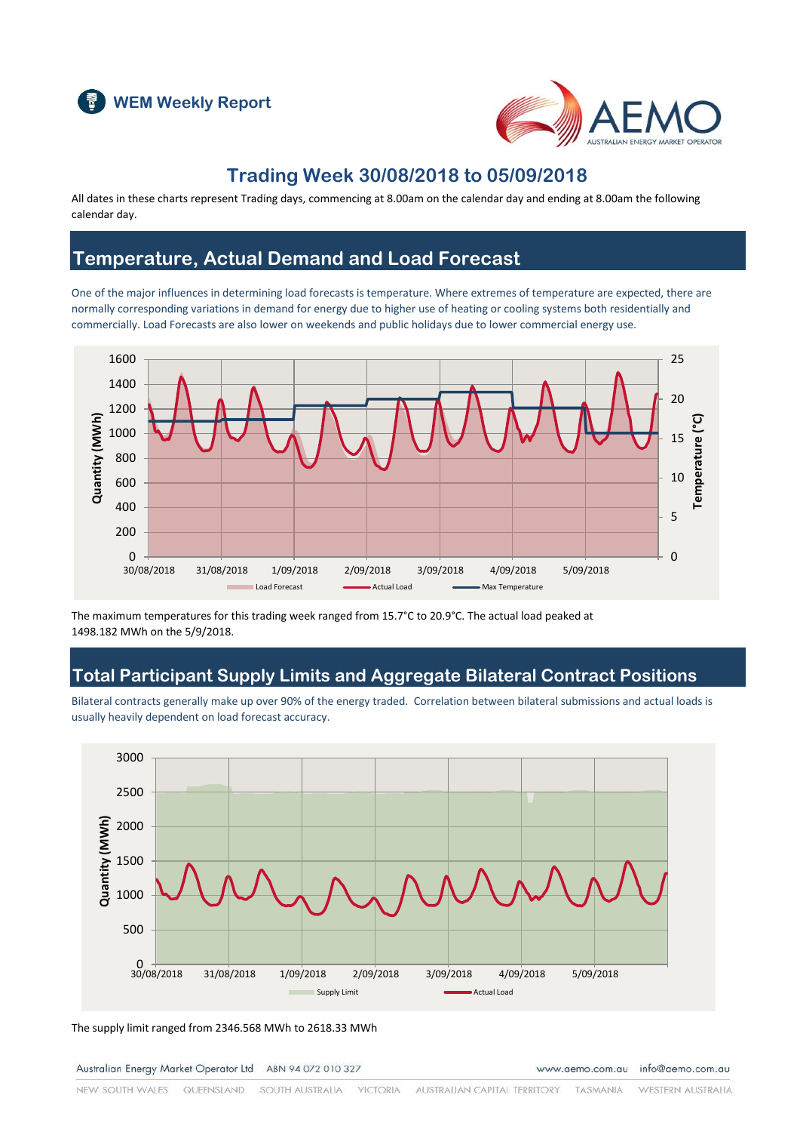



#### **Trading Week 30/08/2018 to 05/09/2018**

All dates in these charts represent Trading days, commencing at 8.00am on the calendar day and ending at 8.00am the following calendar day.

#### **Temperature, Actual Demand and Load Forecast**

One of the major influences in determining load forecasts is temperature. Where extremes of temperature are expected, there are normally corresponding variations in demand for energy due to higher use of heating or cooling systems both residentially and commercially. Load Forecasts are also lower on weekends and public holidays due to lower commercial energy use.



The maximum temperatures for this trading week ranged from 15.7°C to 20.9°C. The actual load peaked at 1498.182 MWh on the 5/9/2018.

# **Total Participant Supply Limits and Aggregate Bilateral Contract Positions**

Bilateral contracts generally make up over 90% of the energy traded. Correlation between bilateral submissions and actual loads is usually heavily dependent on load forecast accuracy.



The supply limit ranged from 2346.568 MWh to 2618.33 MWh

Australian Energy Market Operator Ltd ABN 94 072 010 327

www.aemo.com.au info@aemo.com.au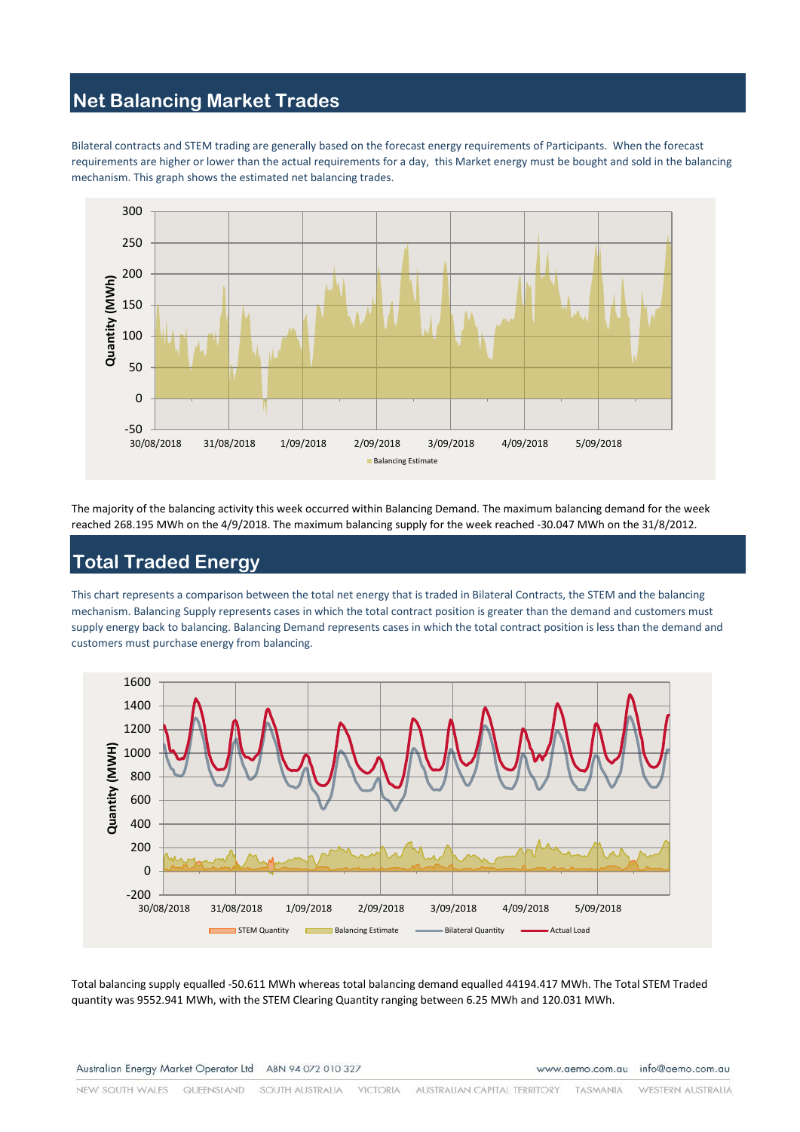# **Net Balancing Market Trades**

Bilateral contracts and STEM trading are generally based on the forecast energy requirements of Participants. When the forecast requirements are higher or lower than the actual requirements for a day, this Market energy must be bought and sold in the balancing mechanism. This graph shows the estimated net balancing trades.



The majority of the balancing activity this week occurred within Balancing Demand. The maximum balancing demand for the week reached 268.195 MWh on the 4/9/2018. The maximum balancing supply for the week reached -30.047 MWh on the 31/8/2012.

# **Total Traded Energy**

This chart represents a comparison between the total net energy that is traded in Bilateral Contracts, the STEM and the balancing mechanism. Balancing Supply represents cases in which the total contract position is greater than the demand and customers must supply energy back to balancing. Balancing Demand represents cases in which the total contract position is less than the demand and customers must purchase energy from balancing.



Total balancing supply equalled -50.611 MWh whereas total balancing demand equalled 44194.417 MWh. The Total STEM Traded quantity was 9552.941 MWh, with the STEM Clearing Quantity ranging between 6.25 MWh and 120.031 MWh.

Australian Energy Market Operator Ltd ABN 94 072 010 327